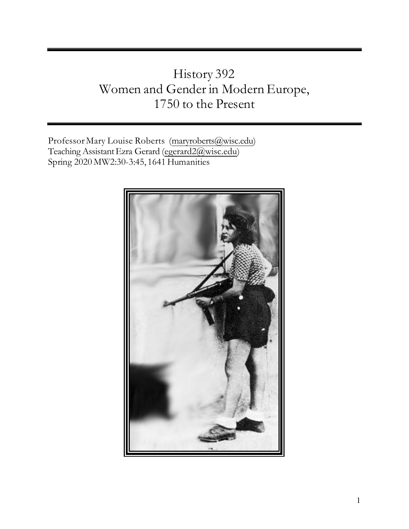# History 392 Women and Gender in Modern Europe, 1750 to the Present

Professor Mary Louise Roberts [\(maryroberts@wisc.edu\)](mailto:maryroberts@wisc.edu) Teaching Assistant Ezra Gerard [\(egerard2@wisc.edu\)](mailto:egerard2@wisc.edu) Spring 2020 MW2:30-3:45, 1641 Humanities

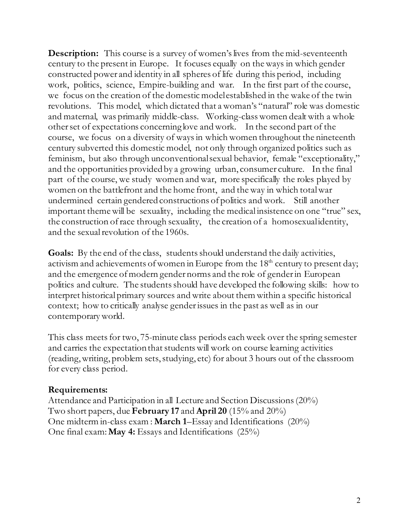**Description:** This course is a survey of women's lives from the mid-seventeenth century to the present in Europe. It focuses equally on the ways in which gender constructed power and identity in all spheres of life during this period, including work, politics, science, Empire-building and war. In the first part of the course, we focus on the creation of the domestic model established in the wake of the twin revolutions. This model, which dictated that a woman's "natural" role was domestic and maternal, was primarily middle-class. Working-class women dealt with a whole other set of expectations concerning love and work. In the second part of the course, we focus on a diversity of ways in which women throughout the nineteenth century subverted this domestic model, not only through organized politics such as feminism, but also through unconventional sexual behavior, female "exceptionality," and the opportunities provided by a growing urban, consumer culture. In the final part of the course, we study women and war, more specifically the roles played by women on the battlefront and the home front, and the way in which total war undermined certain gendered constructions of politics and work. Still another important theme will be sexuality, including the medical insistence on one "true" sex, the construction of race through sexuality, the creation of a homosexual identity, and the sexual revolution of the 1960s.

Goals: By the end of the class, students should understand the daily activities, activism and achievements of women in Europe from the 18<sup>th</sup> century to present day; and the emergence of modern gender norms and the role of gender in European politics and culture. The students should have developed the following skills: how to interpret historical primary sources and write about them within a specific historical context; how to critically analyse gender issues in the past as well as in our contemporary world.

This class meets for two, 75-minute class periods each week over the spring semester and carries the expectation that students will work on course learning activities (reading, writing, problem sets, studying, etc) for about 3 hours out of the classroom for every class period.

# **Requirements:**

Attendance and Participation in all Lecture and Section Discussions (20%) Two short papers, due **February 17** and **April 20** (15% and 20%) One midterm in-class exam : **March 1**–Essay and Identifications (20%) One final exam:**May 4:** Essays and Identifications (25%)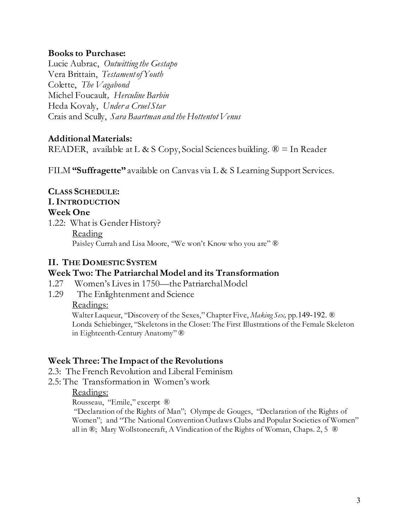### **Books to Purchase:**

Lucie Aubrac, *Outwitting the Gestapo*  Vera Brittain, *Testament of Youth*  Colette, *The Vagabond* Michel Foucault*, Herculine Barbin* Heda Kovaly, *Under a Cruel Star* Crais and Scully, *Sara Baartman and the Hottentot Venus*

# **Additional Materials:**

READER, available at L & S Copy, Social Sciences building.  $\mathcal{D} =$  In Reader

FILM **"Suffragette"** available on Canvas via L & S Learning Support Services.

**CLASS SCHEDULE: I.INTRODUCTION Week One** 1.22: What is Gender History? Reading Paisley Currah and Lisa Moore, "We won't Know who you are" ®

# **II. THE DOMESTIC SYSTEM**

#### **Week Two: The Patriarchal Model and its Transformation**

- 1.27 Women's Lives in 1750—the Patriarchal Model
- 1.29 The Enlightenment and Science

Readings:

Walter Laqueur, "Discovery of the Sexes," Chapter Five, *Making Sex,* pp.149-192. ® Londa Schiebinger, "Skeletons in the Closet: The First Illustrations of the Female Skeleton in Eighteenth-Century Anatomy" ®

# **Week Three: The Impact of the Revolutions**

2.3: The French Revolution and Liberal Feminism

2.5: The Transformation in Women's work

#### Readings:

Rousseau, "Emile," excerpt ®

"Declaration of the Rights of Man"; Olympe de Gouges, "Declaration of the Rights of Women"; and "The National Convention Outlaws Clubs and Popular Societies of Women" all in ®; Mary Wollstonecraft, A Vindication of the Rights of Woman, Chaps. 2, 5 ®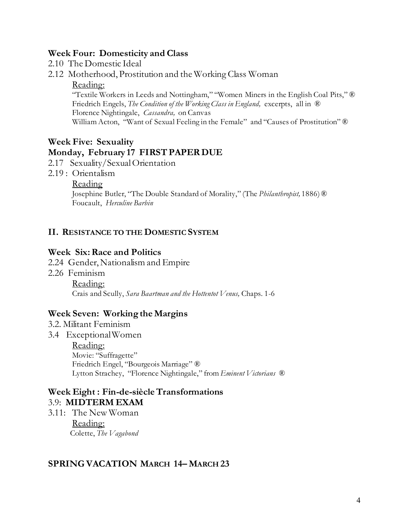#### **Week Four: Domesticity and Class**

- 2.10 The Domestic Ideal
- 2.12 Motherhood, Prostitution and the Working Class Woman

#### Reading:

"Textile Workers in Leeds and Nottingham," "Women Miners in the English Coal Pits," ® Friedrich Engels, *The Condition of the Working Class in England*, excerpts, all in  $\mathbb{R}$ Florence Nightingale, *Cassandra,* on Canvas William Acton, "Want of Sexual Feeling in the Female" and "Causes of Prostitution" ®

# **Week Five: Sexuality Monday, February 17 FIRST PAPER DUE**

- 2.17 Sexuality/Sexual Orientation
- 2.19 : Orientalism
	- Reading

Josephine Butler, "The Double Standard of Morality," (The *Philanthropist,* 1886)® Foucault, *Herculine Barbin*

#### **II. RESISTANCE TO THE DOMESTIC SYSTEM**

#### **Week Six: Race and Politics**

- 2.24 Gender, Nationalism and Empire
- 2.26 Feminism

Reading: Crais and Scully, *Sara Baartman and the Hottentot Venus,* Chaps. 1-6

#### **Week Seven: Working the Margins**

- 3.2. Militant Feminism
- 3.4 Exceptional Women Reading: Movie: "Suffragette" Friedrich Engel, "Bourgeois Marriage" ® Lytton Strachey, "Florence Nightingale," from *Eminent Victorians* ®

# **Week Eight : Fin-de-siècleTransformations**  3.9: **MIDTERM EXAM**

3.11: The New Woman Reading: Colette, *The Vagabond*

#### **SPRING VACATION MARCH 14– MARCH 23**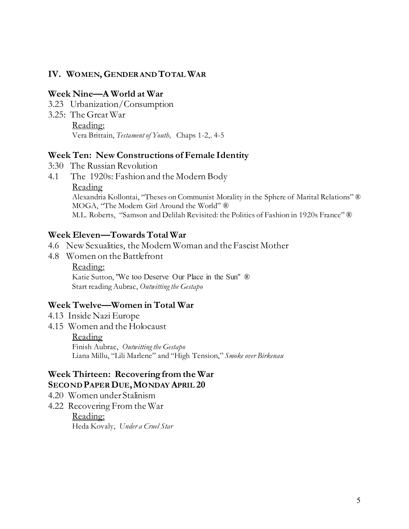#### **IV. WOMEN, GENDER AND TOTAL WAR**

#### **Week Nine—A World at War**

- 3.23 Urbanization/Consumption
- 3.25: The Great War Reading: Vera Brittain, *Testament of Youth,* Chaps 1-2,. 4-5

#### **Week Ten: New Constructions of Female Identity**

- 3:30 The Russian Revolution
- 4.1 The 1920s: Fashion and the Modern Body Reading Alexandria Kollontai, "Theses on Communist Morality in the Sphere of Marital Relations" ® MOGA, "The Modern Girl Around the World" ® M.L. Roberts, "Samson and Delilah Revisited: the Politics of Fashion in 1920s France" ®

#### **Week Eleven—Towards Total War**

- 4.6 New Sexualities, the Modern Woman and the Fascist Mother
- 4.8 Women on the Battlefront

Reading: Katie Sutton, "We too Deserve Our Place in the Sun" ® Start reading Aubrac, *Outwitting the Gestapo*

#### **Week Twelve—Women in Total War**

- 4.13 Inside Nazi Europe
- 4.15 Women and the Holocaust

#### Reading

Finish Aubrac, *Outwitting the Gestapo* Liana Millu, "Lili Marlene" and "High Tension," *Smoke over Birkenau* 

#### **Week Thirteen: Recovering from the War SECOND PAPER DUE,MONDAY APRIL 20**

- 4.20 Women under Stalinism
- 4.22 Recovering From the War Reading: Heda Kovaly, *Under a Cruel Star*